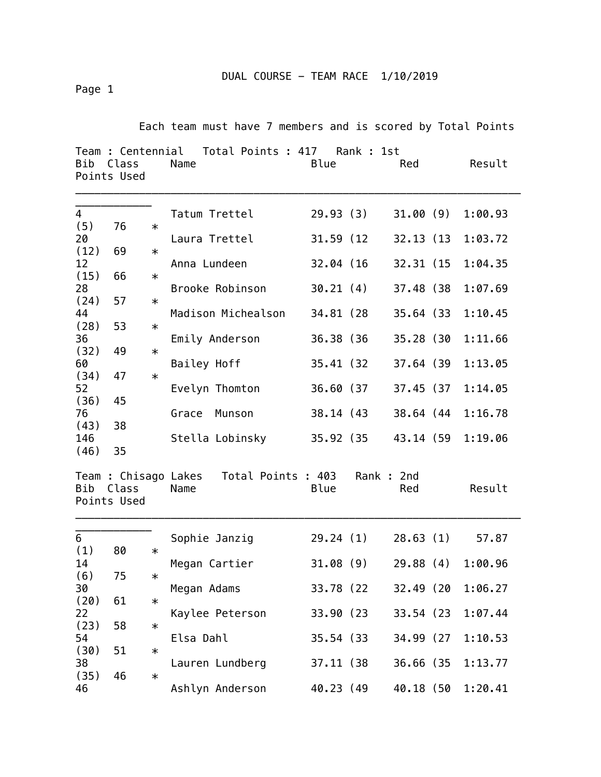DUAL COURSE - TEAM RACE 1/10/2019

Page 1

Each team must have 7 members and is scored by Total Points

| Bib                   | Team : Centennial<br>Class<br>Points Used |        | Total Points : 417<br>Name                      | Blue       | Rank : 1st | Red        | Result  |
|-----------------------|-------------------------------------------|--------|-------------------------------------------------|------------|------------|------------|---------|
| $\overline{4}$<br>(5) | 76                                        | $\ast$ | Tatum Trettel                                   | 29.93 (3)  |            | 31.00(9)   | 1:00.93 |
| 20                    |                                           |        | Laura Trettel                                   | 31.59 (12) |            | 32.13 (13) | 1:03.72 |
| (12)                  | 69                                        | $\ast$ |                                                 |            |            |            |         |
| 12<br>(15)            | 66                                        | $\ast$ | Anna Lundeen                                    | 32.04 (16) |            | 32.31 (15) | 1:04.35 |
| 28                    |                                           |        | Brooke Robinson                                 | 30.21(4)   |            | 37.48 (38) | 1:07.69 |
| (24)                  | 57                                        | $\ast$ |                                                 |            |            |            |         |
| 44<br>(28)            | 53                                        | $\ast$ | Madison Michealson                              | 34.81 (28) |            | 35.64 (33) | 1:10.45 |
| 36                    |                                           |        | Emily Anderson                                  | 36.38 (36) |            | 35.28 (30  | 1:11.66 |
| (32)                  | 49                                        | $\ast$ |                                                 |            |            |            |         |
| 60<br>(34)            | 47                                        | $\ast$ | Bailey Hoff                                     | 35.41 (32) |            | 37.64 (39) | 1:13.05 |
| 52                    |                                           |        | Evelyn Thomton                                  | 36.60 (37  |            | 37.45 (37  | 1:14.05 |
| (36)                  | 45                                        |        |                                                 |            |            |            |         |
| 76<br>(43)            | 38                                        |        | Munson<br>Grace                                 | 38.14 (43) |            | 38.64 (44  | 1:16.78 |
| 146                   |                                           |        | Stella Lobinsky                                 |            | 35.92 (35  | 43.14 (59  | 1:19.06 |
| (46)                  | 35                                        |        |                                                 |            |            |            |         |
| Bib                   | Class<br>Points Used                      |        | Team : Chisago Lakes Total Points : 403<br>Name | Blue       | Rank: 2nd  | Red        | Result  |
| 6                     |                                           |        | Sophie Janzig                                   | 29.24(1)   |            | 28.63(1)   | 57.87   |
| (1)                   | 80                                        | $\ast$ |                                                 |            |            |            |         |
| 14                    |                                           |        | Megan Cartier                                   |            | 31.08 (9)  | 29.88(4)   | 1:00.96 |
| (6)<br>30             | 75                                        | $\ast$ | Megan Adams                                     | 33.78 (22  |            | 32.49 (20  | 1:06.27 |
| (20)                  | 61                                        | $\ast$ |                                                 |            |            |            |         |
| 22                    |                                           |        | Kaylee Peterson                                 | 33.90 (23  |            | 33.54 (23) | 1:07.44 |
| (23)<br>54            | 58                                        | $\ast$ | Elsa Dahl                                       | 35.54 (33) |            | 34.99 (27  | 1:10.53 |
| (30)                  | 51                                        | $\ast$ |                                                 |            |            |            |         |
| 38                    |                                           |        | Lauren Lundberg                                 | 37.11 (38) |            | 36.66 (35  | 1:13.77 |
| (35)<br>46            | 46                                        | $\ast$ | Ashlyn Anderson                                 | 40.23 (49  |            | 40.18 (50  | 1:20.41 |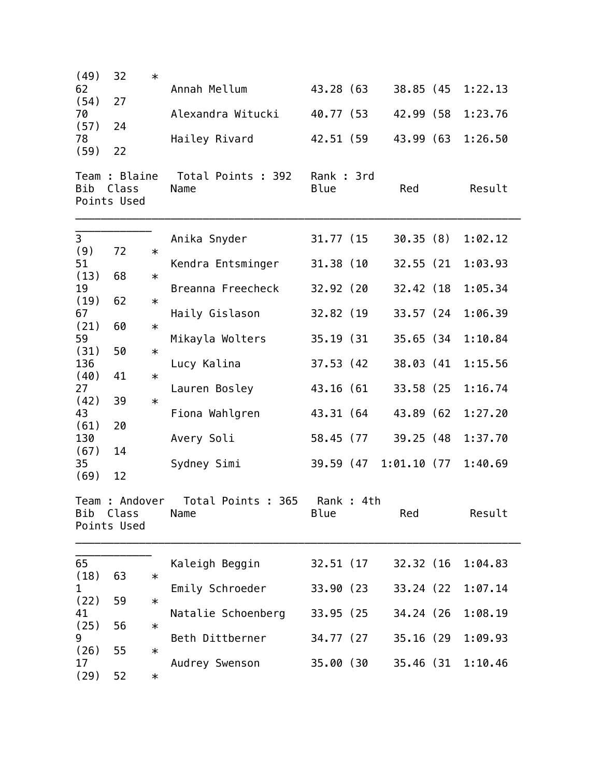| (49)         | 32                                   | $\ast$ |                                            |                    |           |               |         |
|--------------|--------------------------------------|--------|--------------------------------------------|--------------------|-----------|---------------|---------|
| 62           |                                      |        | Annah Mellum                               | 43.28 (63          |           | 38.85 (45     | 1:22.13 |
| (54)<br>70   | 27                                   |        | Alexandra Witucki                          | 40.77 (53          |           | 42.99 (58     | 1:23.76 |
| (57)         | 24                                   |        |                                            |                    |           |               |         |
| 78           |                                      |        | Hailey Rivard                              | 42.51 (59          |           | 43.99 (63     | 1:26.50 |
| (59)         | 22                                   |        |                                            |                    |           |               |         |
| Bib          | Team: Blaine<br>Class<br>Points Used |        | Total Points : 392<br>Name                 | Rank : 3rd<br>Blue |           | Red           | Result  |
|              |                                      |        |                                            |                    |           |               |         |
| 3            |                                      |        | Anika Snyder                               | 31.77 (15          |           | 30.35(8)      | 1:02.12 |
| (9)          | 72                                   | $\ast$ |                                            |                    |           |               |         |
| 51<br>(13)   | 68                                   | $\ast$ | Kendra Entsminger                          | 31.38 (10          |           | 32.55 (21)    | 1:03.93 |
| 19           |                                      |        | Breanna Freecheck                          | 32.92 (20          |           | 32.42 (18)    | 1:05.34 |
| (19)<br>67   | 62                                   | $\ast$ | Haily Gislason                             | 32.82 (19          |           | 33.57 (24     | 1:06.39 |
| (21)         | 60                                   | $\ast$ |                                            |                    |           |               |         |
| 59           |                                      |        | Mikayla Wolters                            | 35.19 (31)         |           | 35.65 (34)    | 1:10.84 |
| (31)<br>136  | 50                                   | $\ast$ | Lucy Kalina                                | 37.53 (42)         |           | 38.03 (41     | 1:15.56 |
| (40)         | 41                                   | $\ast$ |                                            |                    |           |               |         |
| 27<br>(42)   | 39                                   | $\ast$ | Lauren Bosley                              | 43.16 (61          |           | 33.58 (25)    | 1:16.74 |
| 43           |                                      |        | Fiona Wahlgren                             | 43.31 (64          |           | 43.89 (62)    | 1:27.20 |
| (61)<br>130  | 20                                   |        |                                            | 58.45 (77          |           | 39.25 (48)    | 1:37.70 |
| (67)         | 14                                   |        | Avery Soli                                 |                    |           |               |         |
| 35           |                                      |        | Sydney Simi                                | 39.59 (47          |           | $1:01.10$ (77 | 1:40.69 |
| (69)         | 12                                   |        |                                            |                    |           |               |         |
|              | Bib Class<br>Points Used             |        | Team : Andover  Total Points : 365<br>Name | Blue               | Rank: 4th | Red           | Result  |
|              |                                      |        |                                            |                    |           |               |         |
| 65<br>(18)   | 63                                   | $\ast$ | Kaleigh Beggin                             | 32.51 (17)         |           | 32.32 (16)    | 1:04.83 |
| $\mathbf{1}$ |                                      |        | Emily Schroeder                            | 33.90 (23          |           | 33.24 (22     | 1:07.14 |
| (22)         | 59                                   | $\ast$ |                                            |                    |           |               |         |
| 41<br>(25)   | 56                                   | $\ast$ | Natalie Schoenberg                         | 33.95 (25          |           | 34.24 (26     | 1:08.19 |
| 9            |                                      |        | Beth Dittberner                            | 34.77 (27          |           | 35.16 (29     | 1:09.93 |
| (26)<br>17   | 55                                   | $\ast$ | Audrey Swenson                             | 35.00 (30          |           | 35.46 (31     | 1:10.46 |
| (29)         | 52                                   | $\ast$ |                                            |                    |           |               |         |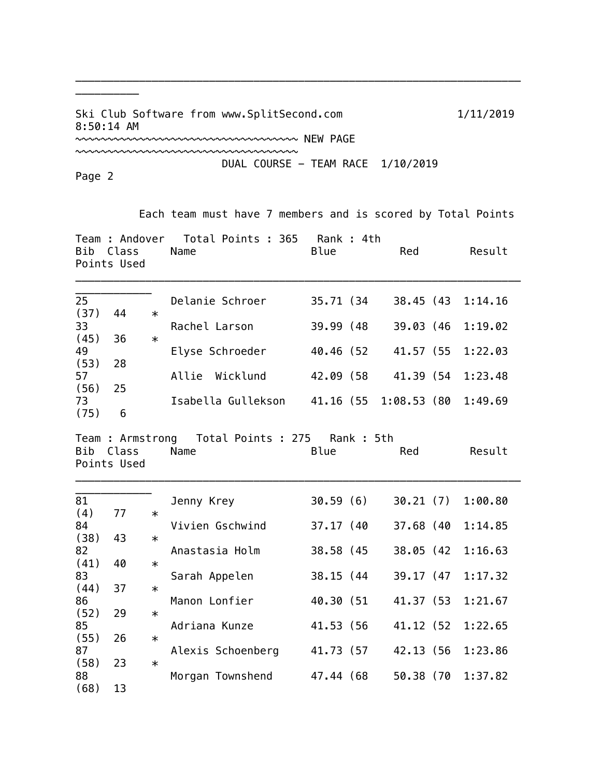Ski Club Software from www.SplitSecond.com 1/11/2019 8:50:14 AM ~~~~~~~~~~~~~~~~~~~~~~~~~~~~~~~~~~~ NEW PAGE

~~~~~~~~~~~~~~~~~~~~~~~~~~~~~~~~~~~

\_\_\_\_\_\_\_\_\_\_\_\_\_\_\_\_\_\_\_\_\_\_\_\_\_\_\_\_\_\_\_\_\_\_\_\_\_\_\_\_\_\_\_\_\_\_\_\_\_\_\_\_\_\_\_\_\_\_\_\_\_\_\_\_\_\_\_\_\_\_

DUAL COURSE - TEAM RACE 1/10/2019

Page 2

\_\_\_\_\_\_\_\_\_\_

Each team must have 7 members and is scored by Total Points

| Bib                | Team : Andover<br>Class<br>Points Used |        | Total Points : 365<br>Name                          | Rank : 4th<br>Blue     | Red                    | Result             |
|--------------------|----------------------------------------|--------|-----------------------------------------------------|------------------------|------------------------|--------------------|
| 25<br>(37)         | 44                                     | $\ast$ | Delanie Schroer                                     | 35.71 (34              | 38.45 (43              | 1:14.16            |
| 33                 |                                        |        | Rachel Larson                                       | 39.99 (48)             | 39.03 (46              | 1:19.02            |
| (45)<br>49         | 36                                     | $\ast$ | Elyse Schroeder                                     | 40.46 (52              | 41.57 (55              | 1:22.03            |
| (53)<br>57<br>(56) | 28<br>25                               |        | Allie Wicklund                                      | 42.09 (58              | 41.39 (54              | 1:23.48            |
| 73<br>(75)         | 6                                      |        | Isabella Gullekson                                  | 41.16 (55              | 1:08.53(80)            | 1:49.69            |
| Bib                | Class<br>Points Used                   |        | Team: Armstrong Total Points: 275 Rank: 5th<br>Name | Blue                   | Red                    | Result             |
| 81<br>(4)          | 77                                     | $\ast$ | Jenny Krey                                          | 30.59(6)               | 30.21(7)               | 1:00.80            |
| 84                 |                                        |        | Vivien Gschwind                                     | 37.17 (40              | 37.68 (40              | 1:14.85            |
| (38)<br>82         | 43                                     | $\ast$ | Anastasia Holm                                      | 38.58 (45              | 38.05 (42              | 1:16.63            |
| (41)<br>83         | 40                                     | $\ast$ | Sarah Appelen                                       | 38.15 (44)             | 39.17 (47              | 1:17.32            |
| (44)<br>86         | 37                                     | $\ast$ | Manon Lonfier                                       | 40.30 (51              | 41.37 (53)             | 1:21.67            |
| (52)<br>85         | 29                                     | $\ast$ | Adriana Kunze                                       | 41.53 (56              | 41.12 (52              | 1:22.65            |
| (55)               | 26                                     | $\ast$ |                                                     |                        |                        |                    |
| 87<br>(58)<br>88   | 23                                     | $\ast$ | Alexis Schoenberg<br>Morgan Townshend               | 41.73 (57<br>47.44 (68 | 42.13 (56<br>50.38 (70 | 1:23.86<br>1:37.82 |
| (68)               | 13                                     |        |                                                     |                        |                        |                    |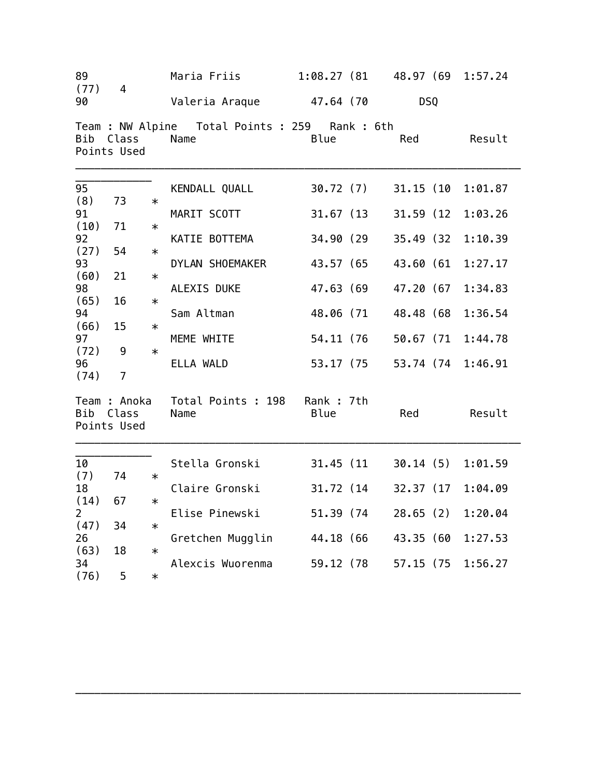| 89<br>(77)             | $\overline{4}$                       |        | Maria Friis                                              | 1:08.27(81)       | 48.97 (69  | 1:57.24 |
|------------------------|--------------------------------------|--------|----------------------------------------------------------|-------------------|------------|---------|
| 90                     |                                      |        | Valeria Araque 47.64 (70                                 |                   | DSQ        |         |
| Bib                    | Class<br>Points Used                 |        | Team : NW Alpine  Total Points : 259  Rank : 6th<br>Name | <b>Blue</b>       | Red        | Result  |
| 95                     |                                      |        | KENDALL QUALL                                            | 30.72 (7)         | 31.15 (10  | 1:01.87 |
| (8)<br>91              | 73                                   | $\ast$ | MARIT SCOTT                                              | 31.67(13)         | 31.59 (12) | 1:03.26 |
| (10)<br>92             | 71                                   | $\ast$ | KATIE BOTTEMA                                            | 34.90 (29         | 35.49 (32) | 1:10.39 |
| (27)<br>93             | 54                                   | $\ast$ | DYLAN SHOEMAKER                                          | 43.57 (65         | 43.60 (61  | 1:27.17 |
| (60)<br>98             | 21                                   | $\ast$ | ALEXIS DUKE                                              | 47.63 (69         | 47.20 (67  | 1:34.83 |
| (65)<br>94             | 16                                   | $\ast$ | Sam Altman                                               | 48.06 (71         | 48.48 (68  | 1:36.54 |
| (66)<br>97             | 15                                   | $\ast$ | MEME WHITE                                               | 54.11 (76         | 50.67 (71  | 1:44.78 |
| (72)<br>96<br>(74)     | 9<br>7                               | $\ast$ | ELLA WALD                                                | 53.17 (75         | 53.74 (74  | 1:46.91 |
| Bib                    | Team : Anoka<br>Class<br>Points Used |        | Total Points : 198<br>Name                               | Rank: 7th<br>Blue | Red        | Result  |
| 10                     |                                      |        | Stella Gronski                                           | 31.45 (11)        | 30.14(5)   | 1:01.59 |
| (7)<br>18              | 74                                   | $\ast$ | Claire Gronski                                           | 31.72 (14)        | 32.37 (17  | 1:04.09 |
| (14)<br>$\overline{2}$ | 67                                   | $\ast$ | Elise Pinewski                                           | 51.39 (74)        | 28.65(2)   | 1:20.04 |
| (47)<br>26             | 34                                   | $\ast$ | Gretchen Mugglin                                         | 44.18 (66         | 43.35 (60  | 1:27.53 |
| (63)<br>34             | 18                                   | $\ast$ | Alexcis Wuorenma                                         | 59.12 (78         | 57.15 (75  | 1:56.27 |
| (76)                   | 5                                    | $\ast$ |                                                          |                   |            |         |

\_\_\_\_\_\_\_\_\_\_\_\_\_\_\_\_\_\_\_\_\_\_\_\_\_\_\_\_\_\_\_\_\_\_\_\_\_\_\_\_\_\_\_\_\_\_\_\_\_\_\_\_\_\_\_\_\_\_\_\_\_\_\_\_\_\_\_\_\_\_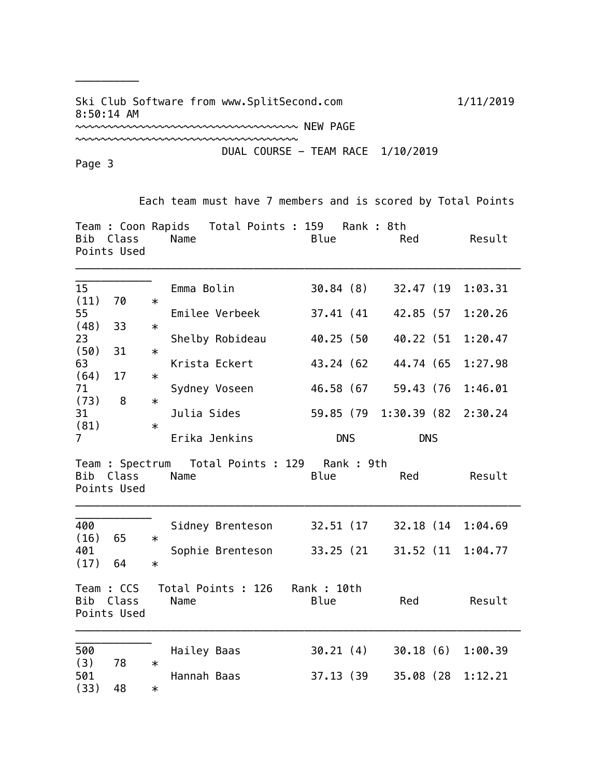## Ski Club Software from www.SplitSecond.com 1/11/2019 8:50:14 AM

~~~~~~~~~~~~~~~~~~~~~~~~~~~~~~~~~~~

~~~~~~~~~~~~~~~~~~~~~~~~~~~~~~~~~~~ NEW PAGE

DUAL COURSE - TEAM RACE 1/10/2019

Page 3

\_\_\_\_\_\_\_\_\_\_

Each team must have 7 members and is scored by Total Points

| Bib Class   | Name | Team: Coon Rapids Total Points: 159 Rank: 8th | Blue | Red | Result |
|-------------|------|-----------------------------------------------|------|-----|--------|
| Points Used |      |                                               |      |     |        |
|             |      |                                               |      |     |        |

| 15             |    |        | Emma Bolin      | 30.84(8)   | 32.47 (19 1:03.31             |         |
|----------------|----|--------|-----------------|------------|-------------------------------|---------|
| (11)           | 70 | $\ast$ |                 |            |                               |         |
| 55             |    |        | Emilee Verbeek  | 37.41 (41) | 42.85 (57                     | 1:20.26 |
| (48)           | 33 | $\ast$ |                 |            |                               |         |
| 23             |    |        | Shelby Robideau | 40.25 (50  | 40.22 (51 1:20.47             |         |
| (50)           | 31 | $\ast$ |                 |            |                               |         |
| 63             |    |        | Krista Eckert   | 43.24 (62) | 44.74 (65 1:27.98             |         |
| (64)           | 17 | $\ast$ |                 |            |                               |         |
| 71             |    |        | Sydney Voseen   | 46.58 (67  | 59.43 (76                     | 1:46.01 |
| (73)           | 8  | $\ast$ |                 |            |                               |         |
| 31             |    |        | Julia Sides     |            | 59.85 (79 1:30.39 (82 2:30.24 |         |
| (81)           |    | $\ast$ |                 |            |                               |         |
| $\overline{7}$ |    |        | Erika Jenkins   | <b>DNS</b> | <b>DNS</b>                    |         |

Team : Spectrum Total Points : 129 Rank : 9th Red Result Points Used

\_\_\_\_\_\_\_\_\_\_\_\_\_\_\_\_\_\_\_\_\_\_\_\_\_\_\_\_\_\_\_\_\_\_\_\_\_\_\_\_\_\_\_\_\_\_\_\_\_\_\_\_\_\_\_\_\_\_\_\_\_\_\_\_\_\_\_\_\_\_

| 400<br>(16)<br>401<br>(17) | 65<br>64                           | Sidney Brenteson<br>$\ast$<br>Sophie Brenteson<br>$\ast$ | 32.51 (17)<br>33.25 (21) | 32.18 (14)<br>31.52 (11)  | 1:04.69<br>1:04.77 |
|----------------------------|------------------------------------|----------------------------------------------------------|--------------------------|---------------------------|--------------------|
| Bib                        | Team : CCS<br>Class<br>Points Used | Total Points : 126<br>Name                               | Rank : 10th<br>Blue      | Red                       | Result             |
| 500<br>(3)<br>501<br>(33)  | 78<br>48                           | Hailey Baas<br>$\ast$<br>Hannah Baas<br>$\ast$           | 30.21(4)<br>37.13 (39)   | 30.18(6)<br>(28)<br>35.08 | 1:00.39<br>1:12.21 |